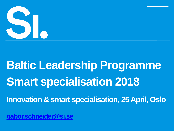

# **Baltic Leadership Programme Smart specialisation 2018**

**Innovation & smart specialisation, 25 April, Oslo**

**[gabor.schneider@si.se](mailto:gabor.schneider@si.se)**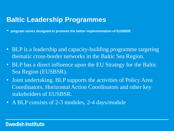### **Baltic Leadership Programmes**

**- program series designed to promote the better implementation of EUSBSR**

- BLP is a leadership and capacity-building programme targeting thematic cross-border networks in the Baltic Sea Region.
- BLP has a direct influence upon the EU Strategy for the Baltic Sea Region (EUSBSR).
- Joint undertaking. BLP supports the activities of Policy Area Coordinators, Horizontal Action Coordinators and other key stakeholders of EUSBSR.
- A BLP consists of 2-3 modules, 2-4 days/module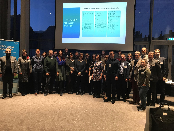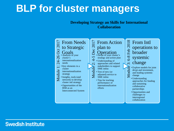## **BLP for cluster managers**

**Developing Strategy an Skills for International Collaboration**



### **Swedish Institute**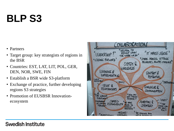## **BLP S3**

- Partners
- Target group: key strategists of regions in the BSR
- Countries: EST, LAT, LIT, POL, GER, DEN, NOR, SWE, FIN
- Establish a BSR wide S3-platform
- Exchange of practice, further developing regions S3 strategies
- Promotion of EUSBSR Innovationecosystem

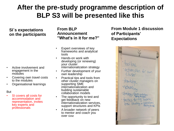### **After the pre-study programme description of BLP S3 will be presented like this**

#### **SI´s expectations on the participants**

- Active involvement and engagement in the modules
- Covering own travel costs to the modules
- Organisational learnings

#### But

SI covers all costs for accommodation and representation, invites key experts and professionals

**From BLP Announcement "What's in it for me?"**

- Expert overviews of key frameworks and analytical tools
- Hands-on work with developing (or renewing) your cluster internationalization strategy
- Further development of your own leadership
- Practical tips and tools from other cluster managers on supporting SME internationalization and building sustainable collaboration models
- The opportunity to test and get feedback on new internationalization services, support structures and KPIs
- A broader network of peers to mentor and coach you over time

**From Module 1 discussion of Participants' Expectations**